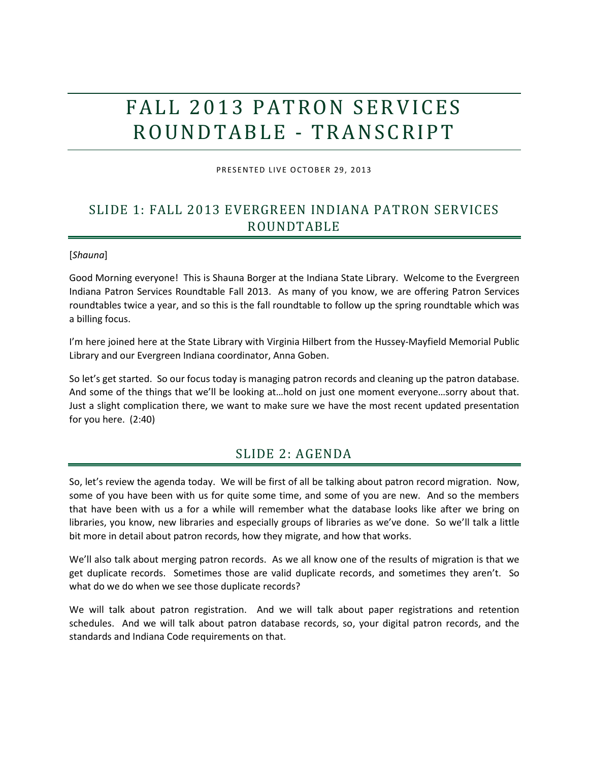# FALL 2013 PATRON SERVICES R O U N D T AB L E - T R A N S C R I P T

PRESENTED LIVE OCTOBER 29, 2013

# SLIDE 1: FALL 2013 EVERGREEN INDIANA PATRON SERVICES ROUNDTABLE

#### [*Shauna*]

Good Morning everyone! This is Shauna Borger at the Indiana State Library. Welcome to the Evergreen Indiana Patron Services Roundtable Fall 2013. As many of you know, we are offering Patron Services roundtables twice a year, and so this is the fall roundtable to follow up the spring roundtable which was a billing focus.

I'm here joined here at the State Library with Virginia Hilbert from the Hussey-Mayfield Memorial Public Library and our Evergreen Indiana coordinator, Anna Goben.

So let's get started. So our focus today is managing patron records and cleaning up the patron database. And some of the things that we'll be looking at…hold on just one moment everyone…sorry about that. Just a slight complication there, we want to make sure we have the most recent updated presentation for you here. (2:40)

### SLIDE 2: AGENDA

So, let's review the agenda today. We will be first of all be talking about patron record migration. Now, some of you have been with us for quite some time, and some of you are new. And so the members that have been with us a for a while will remember what the database looks like after we bring on libraries, you know, new libraries and especially groups of libraries as we've done. So we'll talk a little bit more in detail about patron records, how they migrate, and how that works.

We'll also talk about merging patron records. As we all know one of the results of migration is that we get duplicate records. Sometimes those are valid duplicate records, and sometimes they aren't. So what do we do when we see those duplicate records?

We will talk about patron registration. And we will talk about paper registrations and retention schedules. And we will talk about patron database records, so, your digital patron records, and the standards and Indiana Code requirements on that.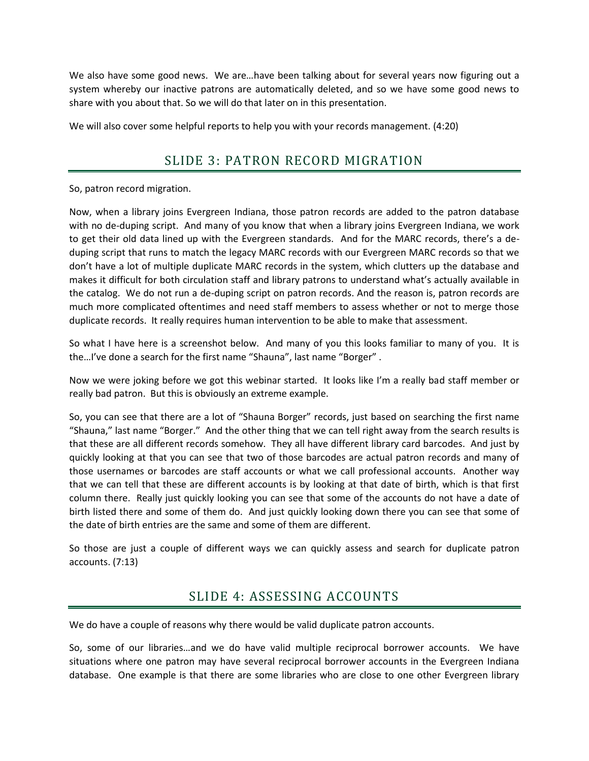We also have some good news. We are...have been talking about for several years now figuring out a system whereby our inactive patrons are automatically deleted, and so we have some good news to share with you about that. So we will do that later on in this presentation.

We will also cover some helpful reports to help you with your records management. (4:20)

# SLIDE 3: PATRON RECORD MIGRATION

So, patron record migration.

Now, when a library joins Evergreen Indiana, those patron records are added to the patron database with no de-duping script. And many of you know that when a library joins Evergreen Indiana, we work to get their old data lined up with the Evergreen standards. And for the MARC records, there's a deduping script that runs to match the legacy MARC records with our Evergreen MARC records so that we don't have a lot of multiple duplicate MARC records in the system, which clutters up the database and makes it difficult for both circulation staff and library patrons to understand what's actually available in the catalog. We do not run a de-duping script on patron records. And the reason is, patron records are much more complicated oftentimes and need staff members to assess whether or not to merge those duplicate records. It really requires human intervention to be able to make that assessment.

So what I have here is a screenshot below. And many of you this looks familiar to many of you. It is the…I've done a search for the first name "Shauna", last name "Borger" .

Now we were joking before we got this webinar started. It looks like I'm a really bad staff member or really bad patron. But this is obviously an extreme example.

So, you can see that there are a lot of "Shauna Borger" records, just based on searching the first name "Shauna," last name "Borger." And the other thing that we can tell right away from the search results is that these are all different records somehow. They all have different library card barcodes. And just by quickly looking at that you can see that two of those barcodes are actual patron records and many of those usernames or barcodes are staff accounts or what we call professional accounts. Another way that we can tell that these are different accounts is by looking at that date of birth, which is that first column there. Really just quickly looking you can see that some of the accounts do not have a date of birth listed there and some of them do. And just quickly looking down there you can see that some of the date of birth entries are the same and some of them are different.

So those are just a couple of different ways we can quickly assess and search for duplicate patron accounts. (7:13)

### SLIDE 4: ASSESSING ACCOUNTS

We do have a couple of reasons why there would be valid duplicate patron accounts.

So, some of our libraries…and we do have valid multiple reciprocal borrower accounts. We have situations where one patron may have several reciprocal borrower accounts in the Evergreen Indiana database. One example is that there are some libraries who are close to one other Evergreen library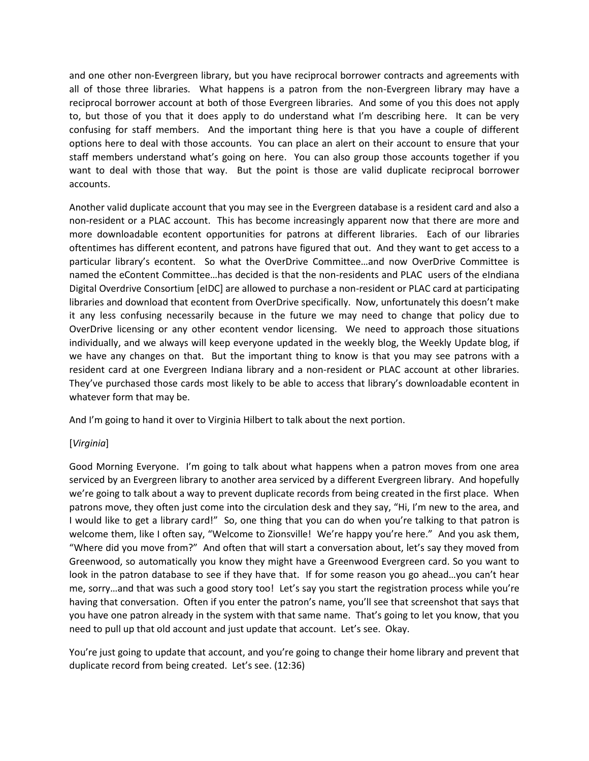and one other non-Evergreen library, but you have reciprocal borrower contracts and agreements with all of those three libraries. What happens is a patron from the non-Evergreen library may have a reciprocal borrower account at both of those Evergreen libraries. And some of you this does not apply to, but those of you that it does apply to do understand what I'm describing here. It can be very confusing for staff members. And the important thing here is that you have a couple of different options here to deal with those accounts. You can place an alert on their account to ensure that your staff members understand what's going on here. You can also group those accounts together if you want to deal with those that way. But the point is those are valid duplicate reciprocal borrower accounts.

Another valid duplicate account that you may see in the Evergreen database is a resident card and also a non-resident or a PLAC account. This has become increasingly apparent now that there are more and more downloadable econtent opportunities for patrons at different libraries. Each of our libraries oftentimes has different econtent, and patrons have figured that out. And they want to get access to a particular library's econtent. So what the OverDrive Committee…and now OverDrive Committee is named the eContent Committee...has decided is that the non-residents and PLAC users of the eIndiana Digital Overdrive Consortium [eIDC] are allowed to purchase a non-resident or PLAC card at participating libraries and download that econtent from OverDrive specifically. Now, unfortunately this doesn't make it any less confusing necessarily because in the future we may need to change that policy due to OverDrive licensing or any other econtent vendor licensing. We need to approach those situations individually, and we always will keep everyone updated in the weekly blog, the Weekly Update blog, if we have any changes on that. But the important thing to know is that you may see patrons with a resident card at one Evergreen Indiana library and a non-resident or PLAC account at other libraries. They've purchased those cards most likely to be able to access that library's downloadable econtent in whatever form that may be.

And I'm going to hand it over to Virginia Hilbert to talk about the next portion.

### [*Virginia*]

Good Morning Everyone. I'm going to talk about what happens when a patron moves from one area serviced by an Evergreen library to another area serviced by a different Evergreen library. And hopefully we're going to talk about a way to prevent duplicate records from being created in the first place. When patrons move, they often just come into the circulation desk and they say, "Hi, I'm new to the area, and I would like to get a library card!" So, one thing that you can do when you're talking to that patron is welcome them, like I often say, "Welcome to Zionsville! We're happy you're here." And you ask them, "Where did you move from?" And often that will start a conversation about, let's say they moved from Greenwood, so automatically you know they might have a Greenwood Evergreen card. So you want to look in the patron database to see if they have that. If for some reason you go ahead…you can't hear me, sorry…and that was such a good story too! Let's say you start the registration process while you're having that conversation. Often if you enter the patron's name, you'll see that screenshot that says that you have one patron already in the system with that same name. That's going to let you know, that you need to pull up that old account and just update that account. Let's see. Okay.

You're just going to update that account, and you're going to change their home library and prevent that duplicate record from being created. Let's see. (12:36)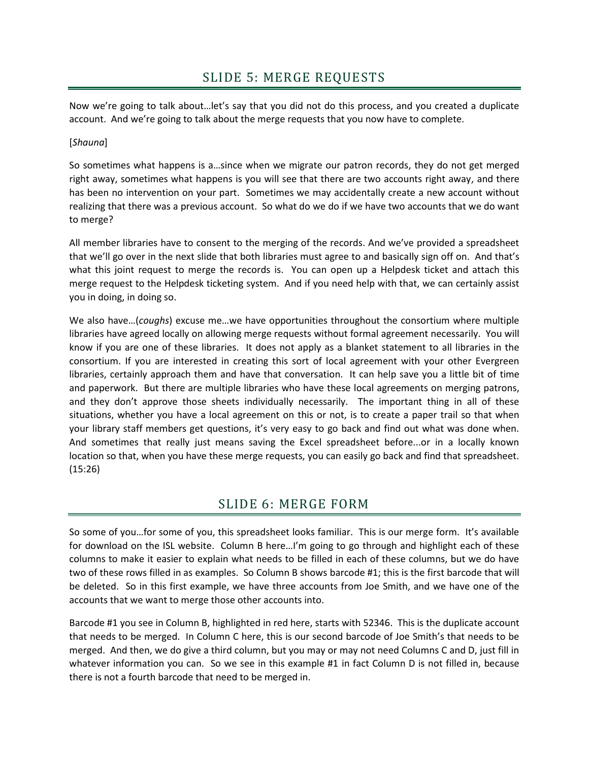Now we're going to talk about…let's say that you did not do this process, and you created a duplicate account. And we're going to talk about the merge requests that you now have to complete.

### [*Shauna*]

So sometimes what happens is a…since when we migrate our patron records, they do not get merged right away, sometimes what happens is you will see that there are two accounts right away, and there has been no intervention on your part. Sometimes we may accidentally create a new account without realizing that there was a previous account. So what do we do if we have two accounts that we do want to merge?

All member libraries have to consent to the merging of the records. And we've provided a spreadsheet that we'll go over in the next slide that both libraries must agree to and basically sign off on. And that's what this joint request to merge the records is. You can open up a Helpdesk ticket and attach this merge request to the Helpdesk ticketing system. And if you need help with that, we can certainly assist you in doing, in doing so.

We also have…(*coughs*) excuse me…we have opportunities throughout the consortium where multiple libraries have agreed locally on allowing merge requests without formal agreement necessarily. You will know if you are one of these libraries. It does not apply as a blanket statement to all libraries in the consortium. If you are interested in creating this sort of local agreement with your other Evergreen libraries, certainly approach them and have that conversation. It can help save you a little bit of time and paperwork. But there are multiple libraries who have these local agreements on merging patrons, and they don't approve those sheets individually necessarily. The important thing in all of these situations, whether you have a local agreement on this or not, is to create a paper trail so that when your library staff members get questions, it's very easy to go back and find out what was done when. And sometimes that really just means saving the Excel spreadsheet before...or in a locally known location so that, when you have these merge requests, you can easily go back and find that spreadsheet. (15:26)

### SLIDE 6: MERGE FORM

So some of you…for some of you, this spreadsheet looks familiar. This is our merge form. It's available for download on the ISL website. Column B here...I'm going to go through and highlight each of these columns to make it easier to explain what needs to be filled in each of these columns, but we do have two of these rows filled in as examples. So Column B shows barcode #1; this is the first barcode that will be deleted. So in this first example, we have three accounts from Joe Smith, and we have one of the accounts that we want to merge those other accounts into.

Barcode #1 you see in Column B, highlighted in red here, starts with 52346. This is the duplicate account that needs to be merged. In Column C here, this is our second barcode of Joe Smith's that needs to be merged. And then, we do give a third column, but you may or may not need Columns C and D, just fill in whatever information you can. So we see in this example #1 in fact Column D is not filled in, because there is not a fourth barcode that need to be merged in.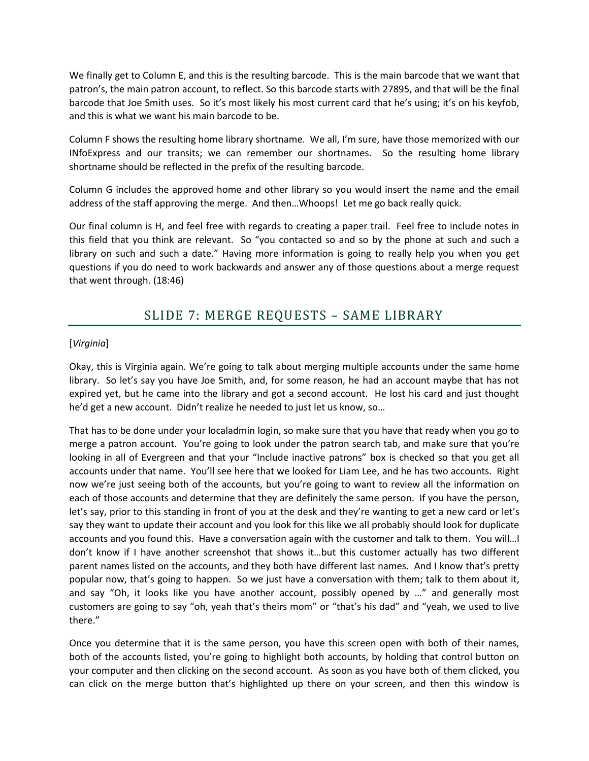We finally get to Column E, and this is the resulting barcode. This is the main barcode that we want that patron's, the main patron account, to reflect. So this barcode starts with 27895, and that will be the final barcode that Joe Smith uses. So it's most likely his most current card that he's using; it's on his keyfob, and this is what we want his main barcode to be.

Column F shows the resulting home library shortname. We all, I'm sure, have those memorized with our INfoExpress and our transits; we can remember our shortnames. So the resulting home library shortname should be reflected in the prefix of the resulting barcode.

Column G includes the approved home and other library so you would insert the name and the email address of the staff approving the merge. And then…Whoops! Let me go back really quick.

Our final column is H, and feel free with regards to creating a paper trail. Feel free to include notes in this field that you think are relevant. So "you contacted so and so by the phone at such and such a library on such and such a date." Having more information is going to really help you when you get questions if you do need to work backwards and answer any of those questions about a merge request that went through. (18:46)

### SLIDE 7: MERGE REQUESTS – SAME LIBRARY

#### [*Virginia*]

Okay, this is Virginia again. We're going to talk about merging multiple accounts under the same home library. So let's say you have Joe Smith, and, for some reason, he had an account maybe that has not expired yet, but he came into the library and got a second account. He lost his card and just thought he'd get a new account. Didn't realize he needed to just let us know, so…

That has to be done under your localadmin login, so make sure that you have that ready when you go to merge a patron account. You're going to look under the patron search tab, and make sure that you're looking in all of Evergreen and that your "Include inactive patrons" box is checked so that you get all accounts under that name. You'll see here that we looked for Liam Lee, and he has two accounts. Right now we're just seeing both of the accounts, but you're going to want to review all the information on each of those accounts and determine that they are definitely the same person. If you have the person, let's say, prior to this standing in front of you at the desk and they're wanting to get a new card or let's say they want to update their account and you look for this like we all probably should look for duplicate accounts and you found this. Have a conversation again with the customer and talk to them. You will…I don't know if I have another screenshot that shows it…but this customer actually has two different parent names listed on the accounts, and they both have different last names. And I know that's pretty popular now, that's going to happen. So we just have a conversation with them; talk to them about it, and say "Oh, it looks like you have another account, possibly opened by …" and generally most customers are going to say "oh, yeah that's theirs mom" or "that's his dad" and "yeah, we used to live there."

Once you determine that it is the same person, you have this screen open with both of their names, both of the accounts listed, you're going to highlight both accounts, by holding that control button on your computer and then clicking on the second account. As soon as you have both of them clicked, you can click on the merge button that's highlighted up there on your screen, and then this window is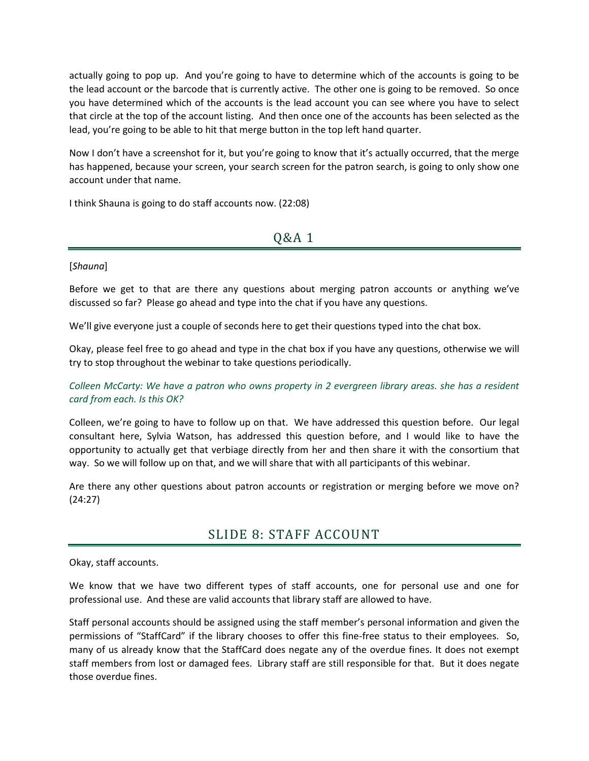actually going to pop up. And you're going to have to determine which of the accounts is going to be the lead account or the barcode that is currently active. The other one is going to be removed. So once you have determined which of the accounts is the lead account you can see where you have to select that circle at the top of the account listing. And then once one of the accounts has been selected as the lead, you're going to be able to hit that merge button in the top left hand quarter.

Now I don't have a screenshot for it, but you're going to know that it's actually occurred, that the merge has happened, because your screen, your search screen for the patron search, is going to only show one account under that name.

I think Shauna is going to do staff accounts now. (22:08)

### Q&A 1

#### [*Shauna*]

Before we get to that are there any questions about merging patron accounts or anything we've discussed so far? Please go ahead and type into the chat if you have any questions.

We'll give everyone just a couple of seconds here to get their questions typed into the chat box.

Okay, please feel free to go ahead and type in the chat box if you have any questions, otherwise we will try to stop throughout the webinar to take questions periodically.

### *Colleen McCarty: We have a patron who owns property in 2 evergreen library areas. she has a resident card from each. Is this OK?*

Colleen, we're going to have to follow up on that. We have addressed this question before. Our legal consultant here, Sylvia Watson, has addressed this question before, and I would like to have the opportunity to actually get that verbiage directly from her and then share it with the consortium that way. So we will follow up on that, and we will share that with all participants of this webinar.

Are there any other questions about patron accounts or registration or merging before we move on? (24:27)

### SLIDE 8: STAFF ACCOUNT

Okay, staff accounts.

We know that we have two different types of staff accounts, one for personal use and one for professional use. And these are valid accounts that library staff are allowed to have.

Staff personal accounts should be assigned using the staff member's personal information and given the permissions of "StaffCard" if the library chooses to offer this fine-free status to their employees. So, many of us already know that the StaffCard does negate any of the overdue fines. It does not exempt staff members from lost or damaged fees. Library staff are still responsible for that. But it does negate those overdue fines.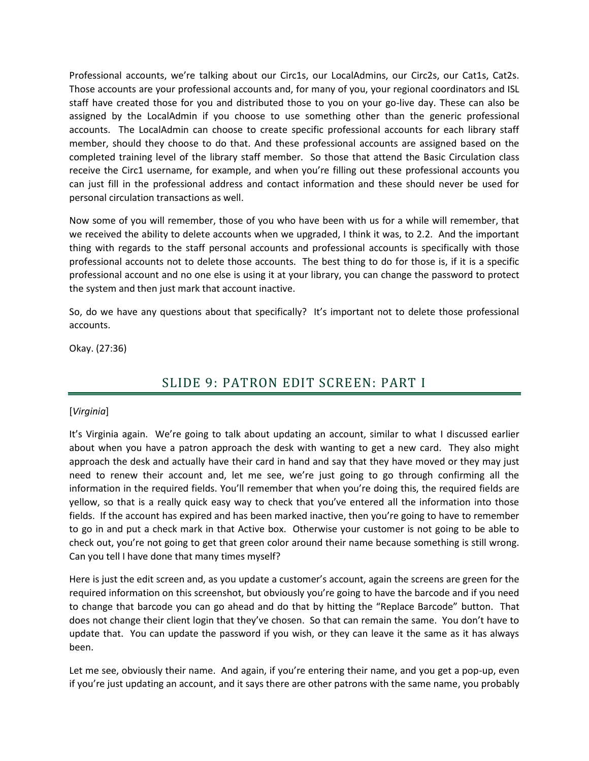Professional accounts, we're talking about our Circ1s, our LocalAdmins, our Circ2s, our Cat1s, Cat2s. Those accounts are your professional accounts and, for many of you, your regional coordinators and ISL staff have created those for you and distributed those to you on your go-live day. These can also be assigned by the LocalAdmin if you choose to use something other than the generic professional accounts. The LocalAdmin can choose to create specific professional accounts for each library staff member, should they choose to do that. And these professional accounts are assigned based on the completed training level of the library staff member. So those that attend the Basic Circulation class receive the Circ1 username, for example, and when you're filling out these professional accounts you can just fill in the professional address and contact information and these should never be used for personal circulation transactions as well.

Now some of you will remember, those of you who have been with us for a while will remember, that we received the ability to delete accounts when we upgraded, I think it was, to 2.2. And the important thing with regards to the staff personal accounts and professional accounts is specifically with those professional accounts not to delete those accounts. The best thing to do for those is, if it is a specific professional account and no one else is using it at your library, you can change the password to protect the system and then just mark that account inactive.

So, do we have any questions about that specifically? It's important not to delete those professional accounts.

Okay. (27:36)

# SLIDE 9: PATRON EDIT SCREEN: PART I

### [*Virginia*]

It's Virginia again. We're going to talk about updating an account, similar to what I discussed earlier about when you have a patron approach the desk with wanting to get a new card. They also might approach the desk and actually have their card in hand and say that they have moved or they may just need to renew their account and, let me see, we're just going to go through confirming all the information in the required fields. You'll remember that when you're doing this, the required fields are yellow, so that is a really quick easy way to check that you've entered all the information into those fields. If the account has expired and has been marked inactive, then you're going to have to remember to go in and put a check mark in that Active box. Otherwise your customer is not going to be able to check out, you're not going to get that green color around their name because something is still wrong. Can you tell I have done that many times myself?

Here is just the edit screen and, as you update a customer's account, again the screens are green for the required information on this screenshot, but obviously you're going to have the barcode and if you need to change that barcode you can go ahead and do that by hitting the "Replace Barcode" button. That does not change their client login that they've chosen. So that can remain the same. You don't have to update that. You can update the password if you wish, or they can leave it the same as it has always been.

Let me see, obviously their name. And again, if you're entering their name, and you get a pop-up, even if you're just updating an account, and it says there are other patrons with the same name, you probably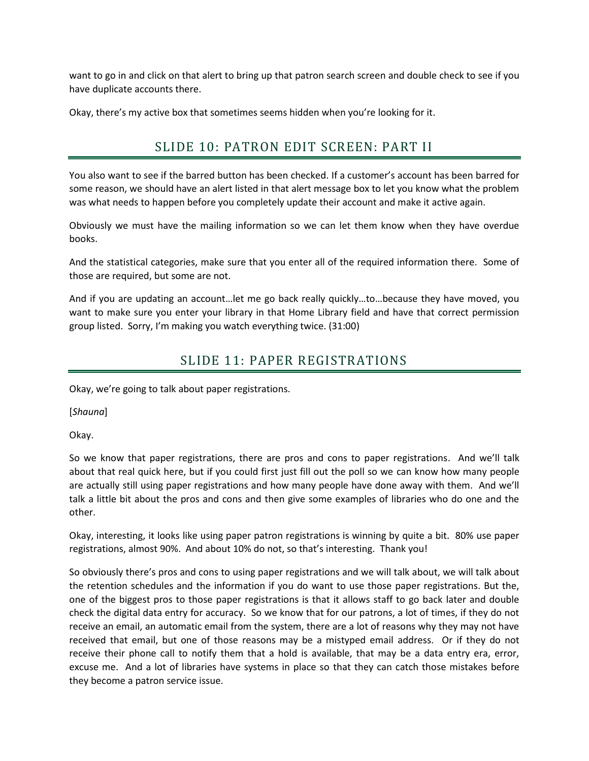want to go in and click on that alert to bring up that patron search screen and double check to see if you have duplicate accounts there.

Okay, there's my active box that sometimes seems hidden when you're looking for it.

# SLIDE 10: PATRON EDIT SCREEN: PART II

You also want to see if the barred button has been checked. If a customer's account has been barred for some reason, we should have an alert listed in that alert message box to let you know what the problem was what needs to happen before you completely update their account and make it active again.

Obviously we must have the mailing information so we can let them know when they have overdue books.

And the statistical categories, make sure that you enter all of the required information there. Some of those are required, but some are not.

And if you are updating an account…let me go back really quickly…to…because they have moved, you want to make sure you enter your library in that Home Library field and have that correct permission group listed. Sorry, I'm making you watch everything twice. (31:00)

# SLIDE 11: PAPER REGISTRATIONS

Okay, we're going to talk about paper registrations.

[*Shauna*]

Okay.

So we know that paper registrations, there are pros and cons to paper registrations. And we'll talk about that real quick here, but if you could first just fill out the poll so we can know how many people are actually still using paper registrations and how many people have done away with them. And we'll talk a little bit about the pros and cons and then give some examples of libraries who do one and the other.

Okay, interesting, it looks like using paper patron registrations is winning by quite a bit. 80% use paper registrations, almost 90%. And about 10% do not, so that's interesting. Thank you!

So obviously there's pros and cons to using paper registrations and we will talk about, we will talk about the retention schedules and the information if you do want to use those paper registrations. But the, one of the biggest pros to those paper registrations is that it allows staff to go back later and double check the digital data entry for accuracy. So we know that for our patrons, a lot of times, if they do not receive an email, an automatic email from the system, there are a lot of reasons why they may not have received that email, but one of those reasons may be a mistyped email address. Or if they do not receive their phone call to notify them that a hold is available, that may be a data entry era, error, excuse me. And a lot of libraries have systems in place so that they can catch those mistakes before they become a patron service issue.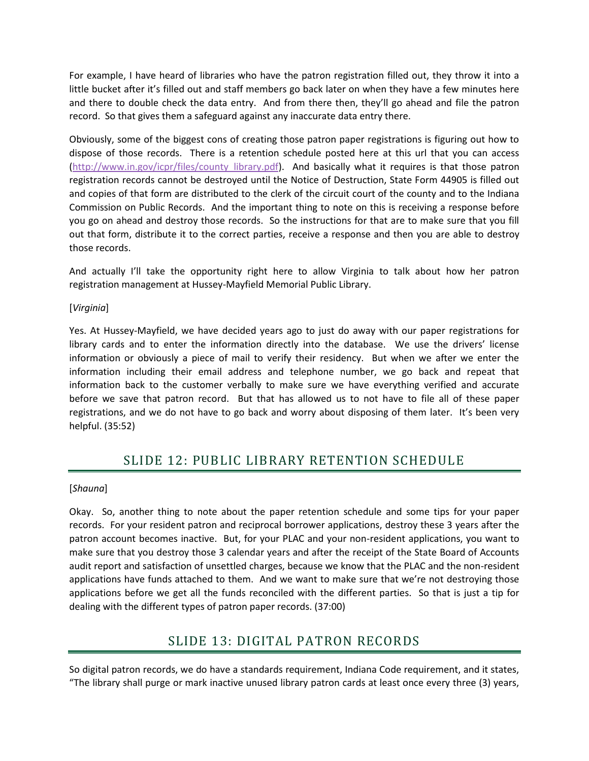For example, I have heard of libraries who have the patron registration filled out, they throw it into a little bucket after it's filled out and staff members go back later on when they have a few minutes here and there to double check the data entry. And from there then, they'll go ahead and file the patron record. So that gives them a safeguard against any inaccurate data entry there.

Obviously, some of the biggest cons of creating those patron paper registrations is figuring out how to dispose of those records. There is a retention schedule posted here at this url that you can access [\(http://www.in.gov/icpr/files/county\\_library.pdf\)](http://www.in.gov/icpr/files/county_library.pdf). And basically what it requires is that those patron registration records cannot be destroyed until the Notice of Destruction, State Form 44905 is filled out and copies of that form are distributed to the clerk of the circuit court of the county and to the Indiana Commission on Public Records. And the important thing to note on this is receiving a response before you go on ahead and destroy those records. So the instructions for that are to make sure that you fill out that form, distribute it to the correct parties, receive a response and then you are able to destroy those records.

And actually I'll take the opportunity right here to allow Virginia to talk about how her patron registration management at Hussey-Mayfield Memorial Public Library.

#### [*Virginia*]

Yes. At Hussey-Mayfield, we have decided years ago to just do away with our paper registrations for library cards and to enter the information directly into the database. We use the drivers' license information or obviously a piece of mail to verify their residency. But when we after we enter the information including their email address and telephone number, we go back and repeat that information back to the customer verbally to make sure we have everything verified and accurate before we save that patron record. But that has allowed us to not have to file all of these paper registrations, and we do not have to go back and worry about disposing of them later. It's been very helpful. (35:52)

### SLIDE 12: PUBLIC LIBRARY RETENTION SCHEDULE

#### [*Shauna*]

Okay. So, another thing to note about the paper retention schedule and some tips for your paper records. For your resident patron and reciprocal borrower applications, destroy these 3 years after the patron account becomes inactive. But, for your PLAC and your non-resident applications, you want to make sure that you destroy those 3 calendar years and after the receipt of the State Board of Accounts audit report and satisfaction of unsettled charges, because we know that the PLAC and the non-resident applications have funds attached to them. And we want to make sure that we're not destroying those applications before we get all the funds reconciled with the different parties. So that is just a tip for dealing with the different types of patron paper records. (37:00)

### SLIDE 13: DIGITAL PATRON RECORDS

So digital patron records, we do have a standards requirement, Indiana Code requirement, and it states, "The library shall purge or mark inactive unused library patron cards at least once every three (3) years,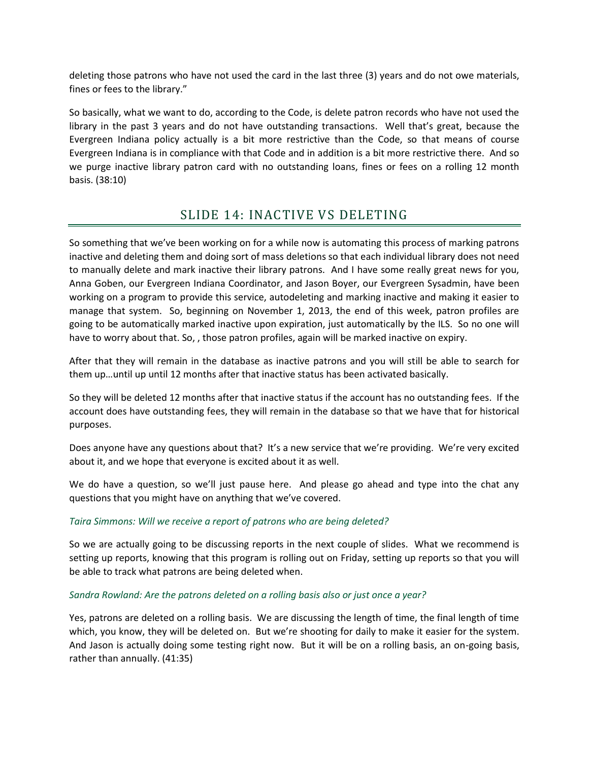deleting those patrons who have not used the card in the last three (3) years and do not owe materials, fines or fees to the library."

So basically, what we want to do, according to the Code, is delete patron records who have not used the library in the past 3 years and do not have outstanding transactions. Well that's great, because the Evergreen Indiana policy actually is a bit more restrictive than the Code, so that means of course Evergreen Indiana is in compliance with that Code and in addition is a bit more restrictive there. And so we purge inactive library patron card with no outstanding loans, fines or fees on a rolling 12 month basis. (38:10)

## SLIDE 14: INACTIVE VS DELETING

So something that we've been working on for a while now is automating this process of marking patrons inactive and deleting them and doing sort of mass deletions so that each individual library does not need to manually delete and mark inactive their library patrons. And I have some really great news for you, Anna Goben, our Evergreen Indiana Coordinator, and Jason Boyer, our Evergreen Sysadmin, have been working on a program to provide this service, autodeleting and marking inactive and making it easier to manage that system. So, beginning on November 1, 2013, the end of this week, patron profiles are going to be automatically marked inactive upon expiration, just automatically by the ILS. So no one will have to worry about that. So, , those patron profiles, again will be marked inactive on expiry.

After that they will remain in the database as inactive patrons and you will still be able to search for them up…until up until 12 months after that inactive status has been activated basically.

So they will be deleted 12 months after that inactive status if the account has no outstanding fees. If the account does have outstanding fees, they will remain in the database so that we have that for historical purposes.

Does anyone have any questions about that? It's a new service that we're providing. We're very excited about it, and we hope that everyone is excited about it as well.

We do have a question, so we'll just pause here. And please go ahead and type into the chat any questions that you might have on anything that we've covered.

### *Taira Simmons: Will we receive a report of patrons who are being deleted?*

So we are actually going to be discussing reports in the next couple of slides. What we recommend is setting up reports, knowing that this program is rolling out on Friday, setting up reports so that you will be able to track what patrons are being deleted when.

#### *Sandra Rowland: Are the patrons deleted on a rolling basis also or just once a year?*

Yes, patrons are deleted on a rolling basis. We are discussing the length of time, the final length of time which, you know, they will be deleted on. But we're shooting for daily to make it easier for the system. And Jason is actually doing some testing right now. But it will be on a rolling basis, an on-going basis, rather than annually. (41:35)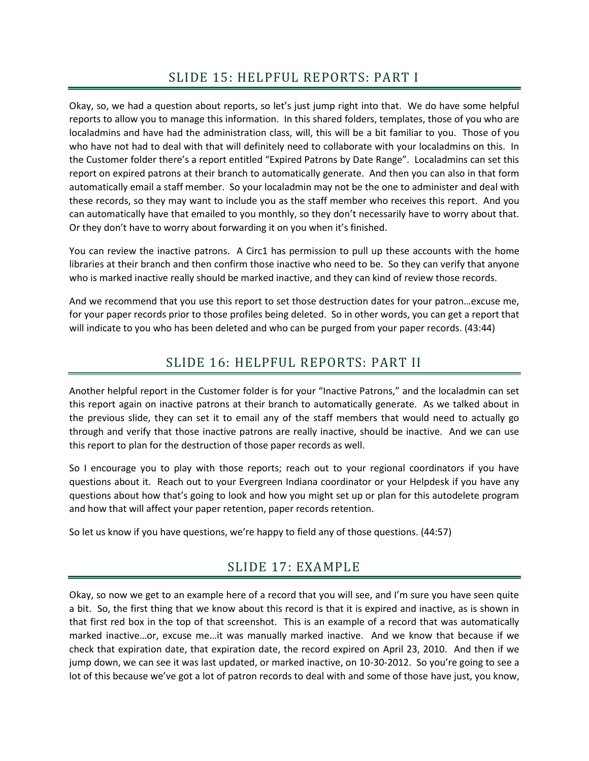Okay, so, we had a question about reports, so let's just jump right into that. We do have some helpful reports to allow you to manage this information. In this shared folders, templates, those of you who are localadmins and have had the administration class, will, this will be a bit familiar to you. Those of you who have not had to deal with that will definitely need to collaborate with your localadmins on this. In the Customer folder there's a report entitled "Expired Patrons by Date Range". Localadmins can set this report on expired patrons at their branch to automatically generate. And then you can also in that form automatically email a staff member. So your localadmin may not be the one to administer and deal with these records, so they may want to include you as the staff member who receives this report. And you can automatically have that emailed to you monthly, so they don't necessarily have to worry about that. Or they don't have to worry about forwarding it on you when it's finished.

You can review the inactive patrons. A Circ1 has permission to pull up these accounts with the home libraries at their branch and then confirm those inactive who need to be. So they can verify that anyone who is marked inactive really should be marked inactive, and they can kind of review those records.

And we recommend that you use this report to set those destruction dates for your patron…excuse me, for your paper records prior to those profiles being deleted. So in other words, you can get a report that will indicate to you who has been deleted and who can be purged from your paper records. (43:44)

# SLIDE 16: HELPFUL REPORTS: PART II

Another helpful report in the Customer folder is for your "Inactive Patrons," and the localadmin can set this report again on inactive patrons at their branch to automatically generate. As we talked about in the previous slide, they can set it to email any of the staff members that would need to actually go through and verify that those inactive patrons are really inactive, should be inactive. And we can use this report to plan for the destruction of those paper records as well.

So I encourage you to play with those reports; reach out to your regional coordinators if you have questions about it. Reach out to your Evergreen Indiana coordinator or your Helpdesk if you have any questions about how that's going to look and how you might set up or plan for this autodelete program and how that will affect your paper retention, paper records retention.

So let us know if you have questions, we're happy to field any of those questions. (44:57)

# SLIDE 17: EXAMPLE

Okay, so now we get to an example here of a record that you will see, and I'm sure you have seen quite a bit. So, the first thing that we know about this record is that it is expired and inactive, as is shown in that first red box in the top of that screenshot. This is an example of a record that was automatically marked inactive…or, excuse me…it was manually marked inactive. And we know that because if we check that expiration date, that expiration date, the record expired on April 23, 2010. And then if we jump down, we can see it was last updated, or marked inactive, on 10-30-2012. So you're going to see a lot of this because we've got a lot of patron records to deal with and some of those have just, you know,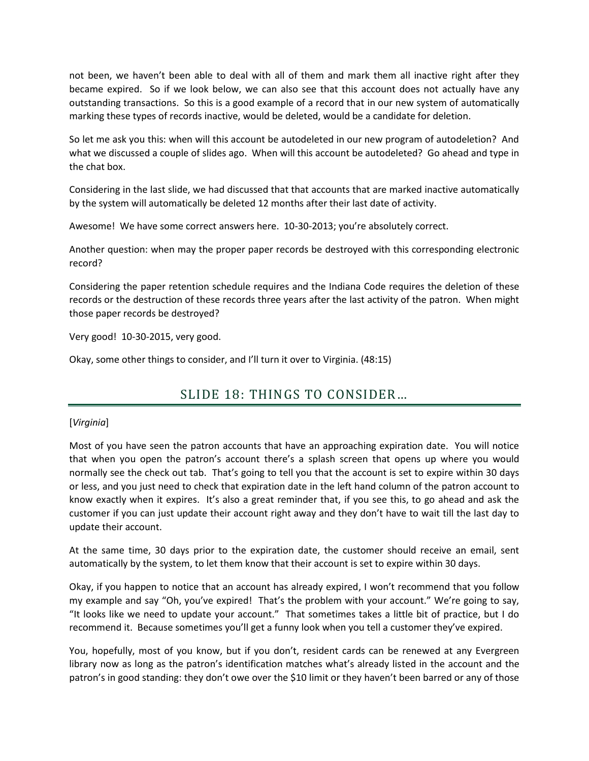not been, we haven't been able to deal with all of them and mark them all inactive right after they became expired. So if we look below, we can also see that this account does not actually have any outstanding transactions. So this is a good example of a record that in our new system of automatically marking these types of records inactive, would be deleted, would be a candidate for deletion.

So let me ask you this: when will this account be autodeleted in our new program of autodeletion? And what we discussed a couple of slides ago. When will this account be autodeleted? Go ahead and type in the chat box.

Considering in the last slide, we had discussed that that accounts that are marked inactive automatically by the system will automatically be deleted 12 months after their last date of activity.

Awesome! We have some correct answers here. 10-30-2013; you're absolutely correct.

Another question: when may the proper paper records be destroyed with this corresponding electronic record?

Considering the paper retention schedule requires and the Indiana Code requires the deletion of these records or the destruction of these records three years after the last activity of the patron. When might those paper records be destroyed?

Very good! 10-30-2015, very good.

Okay, some other things to consider, and I'll turn it over to Virginia. (48:15)

# SLIDE 18: THINGS TO CONSIDER…

### [*Virginia*]

Most of you have seen the patron accounts that have an approaching expiration date. You will notice that when you open the patron's account there's a splash screen that opens up where you would normally see the check out tab. That's going to tell you that the account is set to expire within 30 days or less, and you just need to check that expiration date in the left hand column of the patron account to know exactly when it expires. It's also a great reminder that, if you see this, to go ahead and ask the customer if you can just update their account right away and they don't have to wait till the last day to update their account.

At the same time, 30 days prior to the expiration date, the customer should receive an email, sent automatically by the system, to let them know that their account is set to expire within 30 days.

Okay, if you happen to notice that an account has already expired, I won't recommend that you follow my example and say "Oh, you've expired! That's the problem with your account." We're going to say, "It looks like we need to update your account." That sometimes takes a little bit of practice, but I do recommend it. Because sometimes you'll get a funny look when you tell a customer they've expired.

You, hopefully, most of you know, but if you don't, resident cards can be renewed at any Evergreen library now as long as the patron's identification matches what's already listed in the account and the patron's in good standing: they don't owe over the \$10 limit or they haven't been barred or any of those